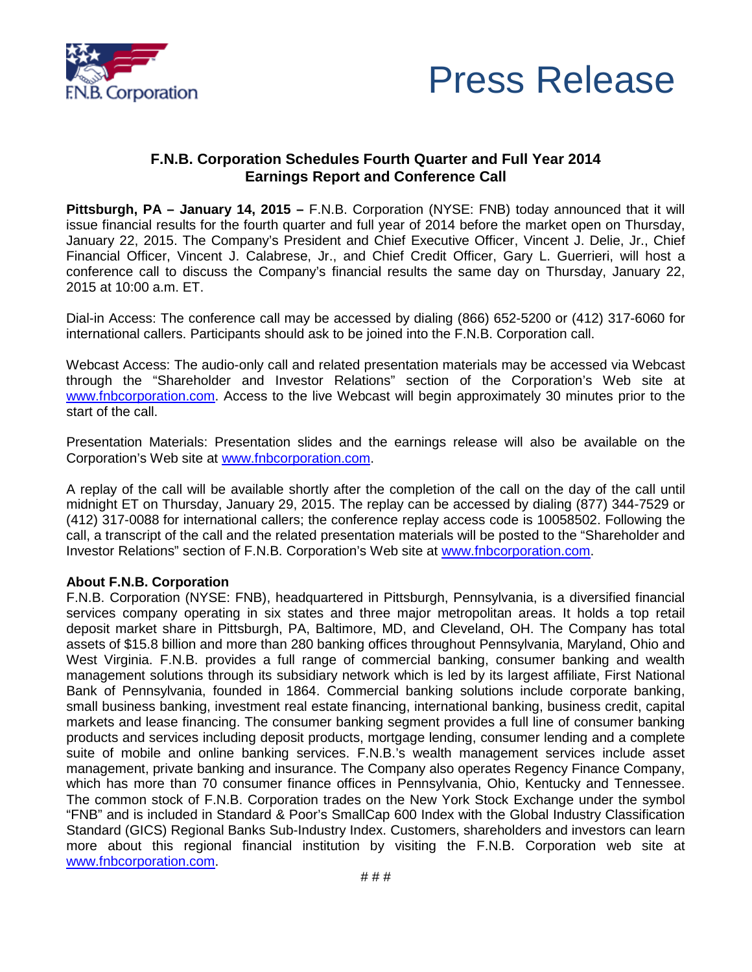



## **F.N.B. Corporation Schedules Fourth Quarter and Full Year 2014 Earnings Report and Conference Call**

**Pittsburgh, PA – January 14, 2015 –** F.N.B. Corporation (NYSE: FNB) today announced that it will issue financial results for the fourth quarter and full year of 2014 before the market open on Thursday, January 22, 2015. The Company's President and Chief Executive Officer, Vincent J. Delie, Jr., Chief Financial Officer, Vincent J. Calabrese, Jr., and Chief Credit Officer, Gary L. Guerrieri, will host a conference call to discuss the Company's financial results the same day on Thursday, January 22, 2015 at 10:00 a.m. ET.

Dial-in Access: The conference call may be accessed by dialing (866) 652-5200 or (412) 317-6060 for international callers. Participants should ask to be joined into the F.N.B. Corporation call.

Webcast Access: The audio-only call and related presentation materials may be accessed via Webcast through the "Shareholder and Investor Relations" section of the Corporation's Web site at [www.fnbcorporation.com.](http://www.fnbcorporation.com/) Access to the live Webcast will begin approximately 30 minutes prior to the start of the call.

Presentation Materials: Presentation slides and the earnings release will also be available on the Corporation's Web site at [www.fnbcorporation.com.](http://www.fnbcorporation.com/)

A replay of the call will be available shortly after the completion of the call on the day of the call until midnight ET on Thursday, January 29, 2015. The replay can be accessed by dialing (877) 344-7529 or (412) 317-0088 for international callers; the conference replay access code is 10058502. Following the call, a transcript of the call and the related presentation materials will be posted to the "Shareholder and Investor Relations" section of F.N.B. Corporation's Web site at [www.fnbcorporation.com.](http://www.fnbcorporation.com/)

## **About F.N.B. Corporation**

F.N.B. Corporation (NYSE: FNB), headquartered in Pittsburgh, Pennsylvania, is a diversified financial services company operating in six states and three major metropolitan areas. It holds a top retail deposit market share in Pittsburgh, PA, Baltimore, MD, and Cleveland, OH. The Company has total assets of \$15.8 billion and more than 280 banking offices throughout Pennsylvania, Maryland, Ohio and West Virginia. F.N.B. provides a full range of commercial banking, consumer banking and wealth management solutions through its subsidiary network which is led by its largest affiliate, First National Bank of Pennsylvania, founded in 1864. Commercial banking solutions include corporate banking, small business banking, investment real estate financing, international banking, business credit, capital markets and lease financing. The consumer banking segment provides a full line of consumer banking products and services including deposit products, mortgage lending, consumer lending and a complete suite of mobile and online banking services. F.N.B.'s wealth management services include asset management, private banking and insurance. The Company also operates Regency Finance Company, which has more than 70 consumer finance offices in Pennsylvania, Ohio, Kentucky and Tennessee. The common stock of F.N.B. Corporation trades on the New York Stock Exchange under the symbol "FNB" and is included in Standard & Poor's SmallCap 600 Index with the Global Industry Classification Standard (GICS) Regional Banks Sub-Industry Index. Customers, shareholders and investors can learn more about this regional financial institution by visiting the F.N.B. Corporation web site at [www.fnbcorporation.com.](http://www.fnbcorporation.com/)